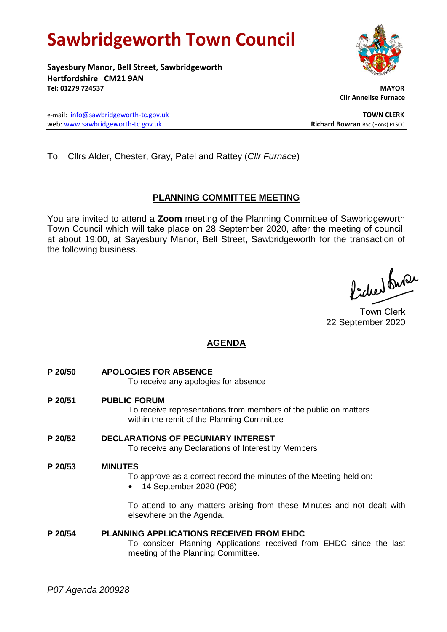# **Sawbridgeworth Town Council**

**Sayesbury Manor, Bell Street, Sawbridgeworth Hertfordshire CM21 9AN Tel: 01279 724537 MAYOR**

 **Cllr Annelise Furnace**

e-mail: [info@sawbridgeworth-tc.gov.uk](mailto:info@sawbridgeworth-tc.gov.uk) **TOWN CLERK** web: www.sawbridgeworth-tc.gov.uk<br> **Richard Bowran** BSc.(Hons) PLSCC

To: Cllrs Alder, Chester, Gray, Patel and Rattey (*Cllr Furnace*)

# **PLANNING COMMITTEE MEETING**

You are invited to attend a **Zoom** meeting of the Planning Committee of Sawbridgeworth Town Council which will take place on 28 September 2020, after the meeting of council, at about 19:00, at Sayesbury Manor, Bell Street, Sawbridgeworth for the transaction of the following business.

Picked Super

Town Clerk 22 September 2020

# **AGENDA**

- **P 20/50 APOLOGIES FOR ABSENCE** To receive any apologies for absence **P 20/51 PUBLIC FORUM**
	- To receive representations from members of the public on matters within the remit of the Planning Committee
- **P 20/52 DECLARATIONS OF PECUNIARY INTEREST** To receive any Declarations of Interest by Members

# **P 20/53 MINUTES**

To approve as a correct record the minutes of the Meeting held on:

• 14 September 2020 (P06)

To attend to any matters arising from these Minutes and not dealt with elsewhere on the Agenda.

# **P 20/54 PLANNING APPLICATIONS RECEIVED FROM EHDC**

To consider Planning Applications received from EHDC since the last meeting of the Planning Committee.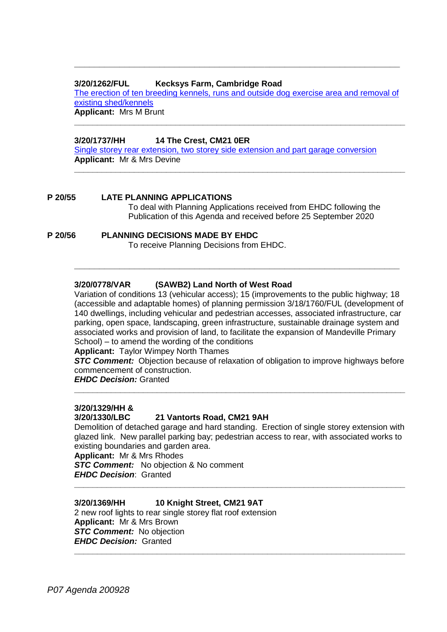#### **3/20/1262/FUL Kecksys Farm, Cambridge Road**

[The erection of ten breeding kennels, runs and outside dog exercise area and removal of](https://publicaccess.eastherts.gov.uk/online-applications/applicationDetails.do?activeTab=documents&keyVal=QD58FDGL00X00)  [existing shed/kennels](https://publicaccess.eastherts.gov.uk/online-applications/applicationDetails.do?activeTab=documents&keyVal=QD58FDGL00X00) **Applicant:** Mrs M Brunt

**\_\_\_\_\_\_\_\_\_\_\_\_\_\_\_\_\_\_\_\_\_\_\_\_\_\_\_\_\_\_\_\_\_\_\_\_\_\_\_\_\_\_\_\_\_\_\_\_\_\_\_\_\_\_\_\_\_\_\_\_\_\_\_\_\_\_\_\_\_\_\_\_**

**\_\_\_\_\_\_\_\_\_\_\_\_\_\_\_\_\_\_\_\_\_\_\_\_\_\_\_\_\_\_\_\_\_\_\_\_\_\_\_\_\_\_\_\_\_\_\_\_\_\_\_\_\_\_\_\_\_\_\_\_\_\_\_\_\_\_\_\_\_\_\_\_**

**\_\_\_\_\_\_\_\_\_\_\_\_\_\_\_\_\_\_\_\_\_\_\_\_\_\_\_\_\_\_\_\_\_\_\_\_\_\_\_\_\_\_\_\_\_\_\_\_\_\_\_\_\_\_\_\_\_\_\_\_\_\_\_\_\_**

# **3/20/1737/HH 14 The Crest, CM21 0ER**

[Single storey rear extension, two storey side extension and part garage conversion](https://publicaccess.eastherts.gov.uk/online-applications/applicationDetails.do?activeTab=documents&keyVal=QGHFLUGLIG100) **Applicant:** Mr & Mrs Devine

# **P 20/55 LATE PLANNING APPLICATIONS**

To deal with Planning Applications received from EHDC following the Publication of this Agenda and received before 25 September 2020

# **P 20/56 PLANNING DECISIONS MADE BY EHDC**

To receive Planning Decisions from EHDC.

## **3/20/0778/VAR (SAWB2) Land North of West Road**

Variation of conditions 13 (vehicular access); 15 (improvements to the public highway; 18 (accessible and adaptable homes) of planning permission 3/18/1760/FUL (development of 140 dwellings, including vehicular and pedestrian accesses, associated infrastructure, car parking, open space, landscaping, green infrastructure, sustainable drainage system and associated works and provision of land, to facilitate the expansion of Mandeville Primary School) – to amend the wording of the conditions

**\_\_\_\_\_\_\_\_\_\_\_\_\_\_\_\_\_\_\_\_\_\_\_\_\_\_\_\_\_\_\_\_\_\_\_\_\_\_\_\_\_\_\_\_\_\_\_\_\_\_\_\_\_\_\_\_\_\_\_\_\_\_\_\_\_**

**Applicant:** Taylor Wimpey North Thames

**STC Comment:** Objection because of relaxation of obligation to improve highways before commencement of construction.

**\_\_\_\_\_\_\_\_\_\_\_\_\_\_\_\_\_\_\_\_\_\_\_\_\_\_\_\_\_\_\_\_\_\_\_\_\_\_\_\_\_\_\_\_\_\_\_\_\_\_\_\_\_\_\_\_\_\_\_\_\_\_\_\_\_\_\_\_\_\_\_\_**

*EHDC Decision:* Granted

# **3/20/1329/HH &**

#### **3/20/1330/LBC 21 Vantorts Road, CM21 9AH**

Demolition of detached garage and hard standing. Erection of single storey extension with glazed link. New parallel parking bay; pedestrian access to rear, with associated works to existing boundaries and garden area.

**\_\_\_\_\_\_\_\_\_\_\_\_\_\_\_\_\_\_\_\_\_\_\_\_\_\_\_\_\_\_\_\_\_\_\_\_\_\_\_\_\_\_\_\_\_\_\_\_\_\_\_\_\_\_\_\_\_\_\_\_\_\_\_\_\_\_\_\_\_\_\_\_**

**\_\_\_\_\_\_\_\_\_\_\_\_\_\_\_\_\_\_\_\_\_\_\_\_\_\_\_\_\_\_\_\_\_\_\_\_\_\_\_\_\_\_\_\_\_\_\_\_\_\_\_\_\_\_\_\_\_\_\_\_\_\_\_\_\_\_\_\_\_\_\_\_**

**Applicant:** Mr & Mrs Rhodes

**STC Comment:** No objection & No comment *EHDC Decision*: Granted

# **3/20/1369/HH 10 Knight Street, CM21 9AT**

2 new roof lights to rear single storey flat roof extension **Applicant:** Mr & Mrs Brown *STC Comment:* No objection *EHDC Decision:*Granted